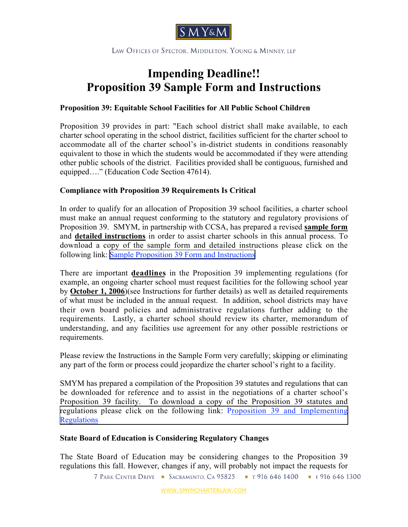

LAW OFFICES OF SPECTOR, MIDDLETON, YOUNG & MINNEY, LLP

## **Impending Deadline!! Proposition 39 Sample Form and Instructions**

## **Proposition 39: Equitable School Facilities for All Public School Children**

Proposition 39 provides in part: "Each school district shall make available, to each charter school operating in the school district, facilities sufficient for the charter school to accommodate all of the charter school's in-district students in conditions reasonably equivalent to those in which the students would be accommodated if they were attending other public schools of the district. Facilities provided shall be contiguous, furnished and equipped…." (Education Code Section 47614).

## **Compliance with Proposition 39 Requirements Is Critical**

In order to qualify for an allocation of Proposition 39 school facilities, a charter school must make an annual request conforming to the statutory and regulatory provisions of Proposition 39. SMYM, in partnership with CCSA, has prepared a revised **sample form** and **detailed instructions** in order to assist charter schools in this annual process. To download a copy of the sample form and detailed instructions please click on the following link: [Sample Proposition 39 Form and Instructions](http://www.smymcharterlaw.com/docs/Sample_Request_for_Facilities_Under_Proposition_39_082206.pdf)

There are important **deadlines** in the Proposition 39 implementing regulations (for example, an ongoing charter school must request facilities for the following school year by **October 1, 2006**)(see Instructions for further details) as well as detailed requirements of what must be included in the annual request. In addition, school districts may have their own board policies and administrative regulations further adding to the requirements. Lastly, a charter school should review its charter, memorandum of understanding, and any facilities use agreement for any other possible restrictions or requirements.

Please review the Instructions in the Sample Form very carefully; skipping or eliminating any part of the form or process could jeopardize the charter school's right to a facility.

SMYM has prepared a compilation of the Proposition 39 statutes and regulations that can be downloaded for reference and to assist in the negotiations of a charter school's Proposition 39 facility. To download a copy of the Proposition 39 statutes and [regulations please click on the following link: Proposition 39 and Implementing](http://www.smymcharterlaw.com/docs/Prop_39_Statutes_and_Regulations1.pdf) **Regulations** 

## **State Board of Education is Considering Regulatory Changes**

The State Board of Education may be considering changes to the Proposition 39 regulations this fall. However, changes if any, will probably not impact the requests for

7 PARK CENTER DRIVE • SACRAMENTO, CA 95825 • T 916 646 1400 • F 916 646 1300